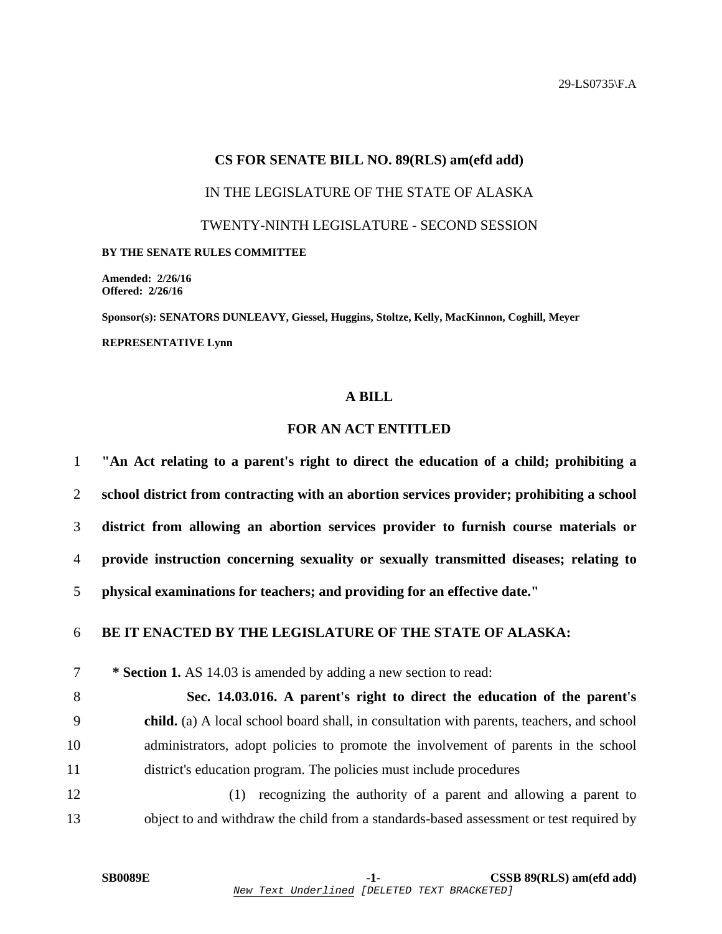## **CS FOR SENATE BILL NO. 89(RLS) am(efd add)**  IN THE LEGISLATURE OF THE STATE OF ALASKA TWENTY-NINTH LEGISLATURE - SECOND SESSION **BY THE SENATE RULES COMMITTEE Amended: 2/26/16**

**Offered: 2/26/16** 

**Sponsor(s): SENATORS DUNLEAVY, Giessel, Huggins, Stoltze, Kelly, MacKinnon, Coghill, Meyer REPRESENTATIVE Lynn** 

## **A BILL**

## **FOR AN ACT ENTITLED**

**"An Act relating to a parent's right to direct the education of a child; prohibiting a school district from contracting with an abortion services provider; prohibiting a school district from allowing an abortion services provider to furnish course materials or provide instruction concerning sexuality or sexually transmitted diseases; relating to physical examinations for teachers; and providing for an effective date." BE IT ENACTED BY THE LEGISLATURE OF THE STATE OF ALASKA: \* Section 1.** AS 14.03 is amended by adding a new section to read: **Sec. 14.03.016. A parent's right to direct the education of the parent's child.** (a) A local school board shall, in consultation with parents, teachers, and school 10 administrators, adopt policies to promote the involvement of parents in the school 11 district's education program. The policies must include procedures 12 (1) recognizing the authority of a parent and allowing a parent to 13 object to and withdraw the child from a standards-based assessment or test required by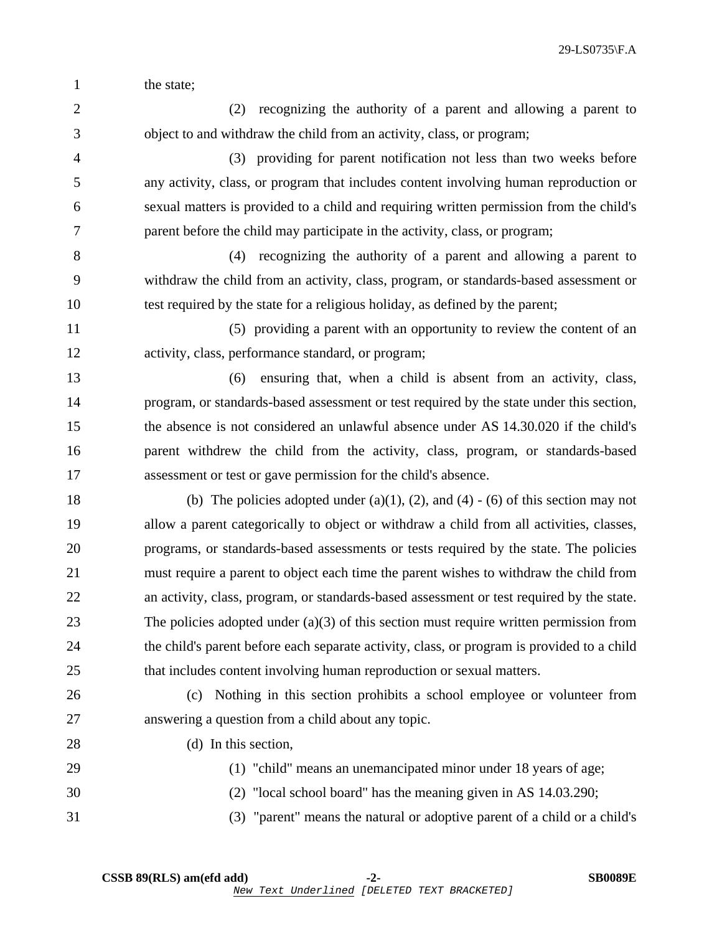29-LS0735\F.A

1 the state:

2 (2) recognizing the authority of a parent and allowing a parent to 3 object to and withdraw the child from an activity, class, or program;

4 (3) providing for parent notification not less than two weeks before 5 any activity, class, or program that includes content involving human reproduction or 6 sexual matters is provided to a child and requiring written permission from the child's 7 parent before the child may participate in the activity, class, or program;

8 (4) recognizing the authority of a parent and allowing a parent to 9 withdraw the child from an activity, class, program, or standards-based assessment or 10 test required by the state for a religious holiday, as defined by the parent;

11 (5) providing a parent with an opportunity to review the content of an 12 activity, class, performance standard, or program;

13 (6) ensuring that, when a child is absent from an activity, class, 14 program, or standards-based assessment or test required by the state under this section, 15 the absence is not considered an unlawful absence under AS 14.30.020 if the child's 16 parent withdrew the child from the activity, class, program, or standards-based 17 assessment or test or gave permission for the child's absence.

18 (b) The policies adopted under  $(a)(1)$ ,  $(2)$ , and  $(4)$  -  $(6)$  of this section may not 19 allow a parent categorically to object or withdraw a child from all activities, classes, 20 programs, or standards-based assessments or tests required by the state. The policies 21 must require a parent to object each time the parent wishes to withdraw the child from 22 an activity, class, program, or standards-based assessment or test required by the state. 23 The policies adopted under (a)(3) of this section must require written permission from 24 the child's parent before each separate activity, class, or program is provided to a child 25 that includes content involving human reproduction or sexual matters.

26 (c) Nothing in this section prohibits a school employee or volunteer from 27 answering a question from a child about any topic.

28 (d) In this section.

29 (1) "child" means an unemancipated minor under 18 years of age;

30 (2) "local school board" has the meaning given in AS 14.03.290;

31 (3) "parent" means the natural or adoptive parent of a child or a child's